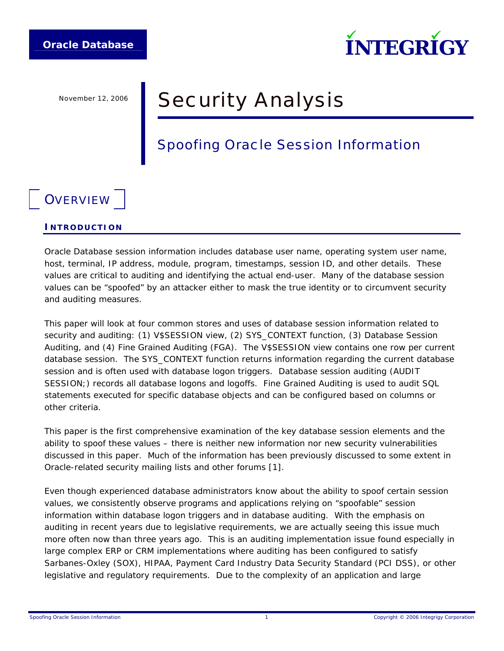

# November 12, 2006 **Security Analysis**

## Spoofing Oracle Session Information

## **OVERVIEW**

#### **INTRODUCTION**

Oracle Database session information includes database user name, operating system user name, host, terminal, IP address, module, program, timestamps, session ID, and other details. These values are critical to auditing and identifying the actual end-user. Many of the database session values can be "spoofed" by an attacker either to mask the true identity or to circumvent security and auditing measures.

This paper will look at four common stores and uses of database session information related to security and auditing: (1) V\$SESSION view, (2) SYS\_CONTEXT function, (3) Database Session Auditing, and (4) Fine Grained Auditing (FGA). The V\$SESSION view contains one row per current database session. The SYS\_CONTEXT function returns information regarding the current database session and is often used with database logon triggers. Database session auditing (AUDIT SESSION;) records all database logons and logoffs. Fine Grained Auditing is used to audit SQL statements executed for specific database objects and can be configured based on columns or other criteria.

This paper is the first comprehensive examination of the key database session elements and the ability to spoof these values – there is neither new information nor new security vulnerabilities discussed in this paper. Much of the information has been previously discussed to some extent in Oracle-related security mailing lists and other forums [1].

Even though experienced database administrators know about the ability to spoof certain session values, we consistently observe programs and applications relying on "spoofable" session information within database logon triggers and in database auditing. With the emphasis on auditing in recent years due to legislative requirements, we are actually seeing this issue much more often now than three years ago. This is an auditing implementation issue found especially in large complex ERP or CRM implementations where auditing has been configured to satisfy Sarbanes-Oxley (SOX), HIPAA, Payment Card Industry Data Security Standard (PCI DSS), or other legislative and regulatory requirements. Due to the complexity of an application and large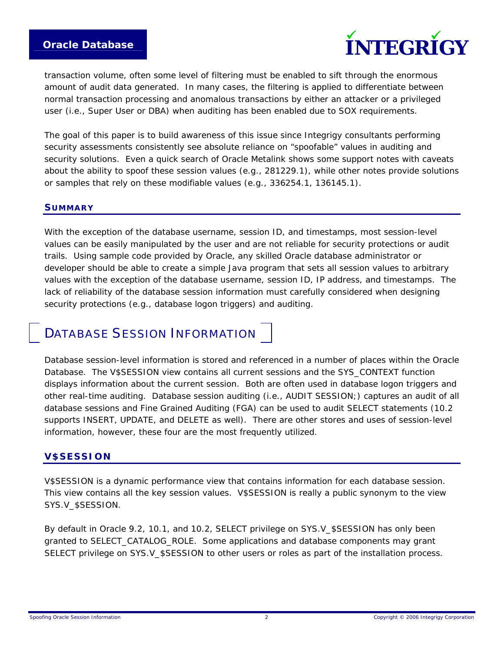

transaction volume, often some level of filtering must be enabled to sift through the enormous amount of audit data generated. In many cases, the filtering is applied to differentiate between normal transaction processing and anomalous transactions by either an attacker or a privileged user (i.e., Super User or DBA) when auditing has been enabled due to SOX requirements.

The goal of this paper is to build awareness of this issue since Integrigy consultants performing security assessments consistently see absolute reliance on "spoofable" values in auditing and security solutions. Even a quick search of Oracle Metalink shows some support notes with caveats about the ability to spoof these session values (e.g., 281229.1), while other notes provide solutions or samples that rely on these modifiable values (e.g., 336254.1, 136145.1).

#### **SUMMARY**

With the exception of the database username, session ID, and timestamps, most session-level values can be easily manipulated by the user and are not reliable for security protections or audit trails. Using sample code provided by Oracle, any skilled Oracle database administrator or developer should be able to create a simple Java program that sets all session values to arbitrary values with the exception of the database username, session ID, IP address, and timestamps. The lack of reliability of the database session information must carefully considered when designing security protections (e.g., database logon triggers) and auditing.

### DATABASE SESSION INFORMATION

Database session-level information is stored and referenced in a number of places within the Oracle Database. The V\$SESSION view contains all current sessions and the SYS\_CONTEXT function displays information about the current session. Both are often used in database logon triggers and other real-time auditing. Database session auditing (i.e., AUDIT SESSION;) captures an audit of all database sessions and Fine Grained Auditing (FGA) can be used to audit SELECT statements (10.2 supports INSERT, UPDATE, and DELETE as well). There are other stores and uses of session-level information, however, these four are the most frequently utilized.

#### **V\$SESSION**

V\$SESSION is a dynamic performance view that contains information for each database session. This view contains all the key session values. V\$SESSION is really a public synonym to the view SYS.V\_\$SESSION.

By default in Oracle 9.2, 10.1, and 10.2, SELECT privilege on SYS.V\_\$SESSION has only been granted to SELECT\_CATALOG\_ROLE. Some applications and database components may grant SELECT privilege on SYS.V\_\$SESSION to other users or roles as part of the installation process.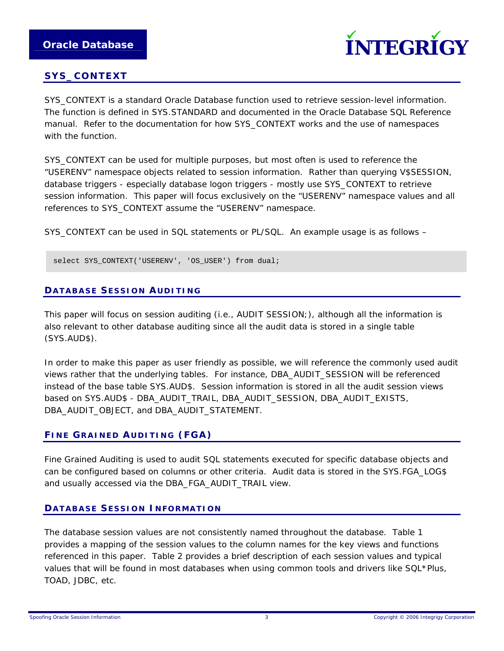

### **SYS\_CONTEXT**

SYS CONTEXT is a standard Oracle Database function used to retrieve session-level information. The function is defined in SYS.STANDARD and documented in the Oracle Database SQL Reference manual. Refer to the documentation for how SYS\_CONTEXT works and the use of namespaces with the function.

SYS\_CONTEXT can be used for multiple purposes, but most often is used to reference the "USERENV" namespace objects related to session information. Rather than querying V\$SESSION, database triggers - especially database logon triggers - mostly use SYS\_CONTEXT to retrieve session information. This paper will focus exclusively on the "USERENV" namespace values and all references to SYS\_CONTEXT assume the "USERENV" namespace.

SYS\_CONTEXT can be used in SQL statements or PL/SQL. An example usage is as follows –

select SYS\_CONTEXT('USERENV', 'OS\_USER') from dual;

#### **DATABASE SESSION AUDITING**

This paper will focus on session auditing (i.e., AUDIT SESSION;), although all the information is also relevant to other database auditing since all the audit data is stored in a single table (SYS.AUD\$).

In order to make this paper as user friendly as possible, we will reference the commonly used audit views rather that the underlying tables. For instance, DBA\_AUDIT\_SESSION will be referenced instead of the base table SYS.AUD\$. Session information is stored in all the audit session views based on SYS.AUD\$ - DBA\_AUDIT\_TRAIL, DBA\_AUDIT\_SESSION, DBA\_AUDIT\_EXISTS, DBA\_AUDIT\_OBJECT, and DBA\_AUDIT\_STATEMENT.

#### **FINE GRAINED AUDITING (FGA)**

Fine Grained Auditing is used to audit SQL statements executed for specific database objects and can be configured based on columns or other criteria. Audit data is stored in the SYS.FGA\_LOG\$ and usually accessed via the DBA\_FGA\_AUDIT\_TRAIL view.

#### **DATABASE SESSION INFORMATION**

The database session values are not consistently named throughout the database. Table 1 provides a mapping of the session values to the column names for the key views and functions referenced in this paper. Table 2 provides a brief description of each session values and typical values that will be found in most databases when using common tools and drivers like SQL\*Plus, TOAD, JDBC, etc.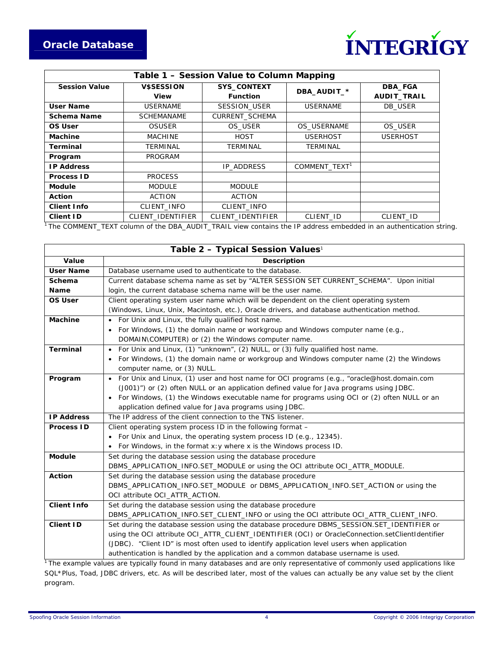

| Table 1 - Session Value to Column Mapping |                   |                       |                           |                    |  |  |
|-------------------------------------------|-------------------|-----------------------|---------------------------|--------------------|--|--|
| <b>Session Value</b>                      | <b>VSSESSION</b>  | <b>SYS_CONTEXT</b>    | DBA_AUDIT_*               | DBA_FGA            |  |  |
|                                           | View              | <b>Function</b>       |                           | <b>AUDIT_TRAIL</b> |  |  |
| User Name                                 | <b>USERNAME</b>   | SESSION_USER          | <b>USERNAME</b>           | DB USER            |  |  |
| Schema Name                               | <b>SCHEMANAME</b> | <b>CURRENT SCHEMA</b> |                           |                    |  |  |
| OS User                                   | <b>OSUSER</b>     | OS USER               | OS USERNAME               | OS USER            |  |  |
| Machine                                   | <b>MACHINE</b>    | <b>HOST</b>           | <b>USERHOST</b>           | <b>USERHOST</b>    |  |  |
| Terminal                                  | TERMINAL          | TERMINAL              | TERMINAL                  |                    |  |  |
| Program                                   | <b>PROGRAM</b>    |                       |                           |                    |  |  |
| <b>IP Address</b>                         |                   | IP ADDRESS            | COMMENT TEXT <sup>1</sup> |                    |  |  |
| <b>Process ID</b>                         | <b>PROCESS</b>    |                       |                           |                    |  |  |
| <b>Module</b>                             | <b>MODULE</b>     | <b>MODULE</b>         |                           |                    |  |  |
| <b>Action</b>                             | <b>ACTION</b>     | <b>ACTION</b>         |                           |                    |  |  |
| <b>Client Info</b>                        | CLIENT INFO       | CLIENT INFO           |                           |                    |  |  |
| <b>Client ID</b>                          | CLIENT IDENTIFIER | CLIENT IDENTIFIER     | CLIENT ID                 | CLIENT ID          |  |  |

<sup>1</sup> The COMMENT\_TEXT column of the DBA\_AUDIT\_TRAIL view contains the IP address embedded in an authentication string.

| Table 2 - Typical Session Values <sup>1</sup> |                                                                                                         |  |  |  |
|-----------------------------------------------|---------------------------------------------------------------------------------------------------------|--|--|--|
| Value                                         | <b>Description</b>                                                                                      |  |  |  |
| <b>User Name</b>                              | Database username used to authenticate to the database.                                                 |  |  |  |
| Schema                                        | Current database schema name as set by "ALTER SESSION SET CURRENT_SCHEMA". Upon initial                 |  |  |  |
| Name                                          | login, the current database schema name will be the user name.                                          |  |  |  |
| <b>OS User</b>                                | Client operating system user name which will be dependent on the client operating system                |  |  |  |
|                                               | (Windows, Linux, Unix, Macintosh, etc.), Oracle drivers, and database authentication method.            |  |  |  |
| <b>Machine</b>                                | For Unix and Linux, the fully qualified host name.                                                      |  |  |  |
|                                               | For Windows, (1) the domain name or workgroup and Windows computer name (e.g.,<br>$\bullet$             |  |  |  |
|                                               | DOMAIN\COMPUTER) or (2) the Windows computer name.                                                      |  |  |  |
| <b>Terminal</b>                               | For Unix and Linux, (1) "unknown", (2) NULL, or (3) fully qualified host name.<br>$\bullet$             |  |  |  |
|                                               | For Windows, (1) the domain name or workgroup and Windows computer name (2) the Windows<br>$\bullet$    |  |  |  |
|                                               | computer name, or (3) NULL.                                                                             |  |  |  |
| Program                                       | For Unix and Linux, (1) user and host name for OCI programs (e.g., "oracle@host.domain.com<br>$\bullet$ |  |  |  |
|                                               | (J001)") or (2) often NULL or an application defined value for Java programs using JDBC.                |  |  |  |
|                                               | For Windows, (1) the Windows executable name for programs using OCI or (2) often NULL or an             |  |  |  |
|                                               | application defined value for Java programs using JDBC.                                                 |  |  |  |
| <b>IP Address</b>                             | The IP address of the client connection to the TNS listener.                                            |  |  |  |
| <b>Process ID</b>                             | Client operating system process ID in the following format -                                            |  |  |  |
|                                               | For Unix and Linux, the operating system process ID (e.g., 12345).                                      |  |  |  |
|                                               | For Windows, in the format $x$ : y where x is the Windows process ID.                                   |  |  |  |
| <b>Module</b>                                 | Set during the database session using the database procedure                                            |  |  |  |
|                                               | DBMS_APPLICATION_INFO.SET_MODULE or using the OCI attribute OCI_ATTR_MODULE.                            |  |  |  |
| Action                                        | Set during the database session using the database procedure                                            |  |  |  |
|                                               | DBMS_APPLICATION_INFO.SET_MODULE or DBMS_APPLICATION_INFO.SET_ACTION or using the                       |  |  |  |
|                                               | OCI attribute OCI_ATTR_ACTION.                                                                          |  |  |  |
| <b>Client Info</b>                            | Set during the database session using the database procedure                                            |  |  |  |
|                                               | DBMS_APPLICATION_INFO.SET_CLIENT_INFO or using the OCI attribute OCI_ATTR_CLIENT_INFO.                  |  |  |  |
| <b>Client ID</b>                              | Set during the database session using the database procedure DBMS_SESSION.SET_IDENTIFIER or             |  |  |  |
|                                               | using the OCI attribute OCI_ATTR_CLIENT_IDENTIFIER (OCI) or OracleConnection.setClientIdentifier        |  |  |  |
|                                               | (JDBC). "Client ID" is most often used to identify application level users when application             |  |  |  |
|                                               | authentication is handled by the application and a common database username is used.                    |  |  |  |

<sup>1</sup> The example values are typically found in many databases and are only representative of commonly used applications like SQL\*Plus, Toad, JDBC drivers, etc. As will be described later, most of the values can actually be any value set by the client program.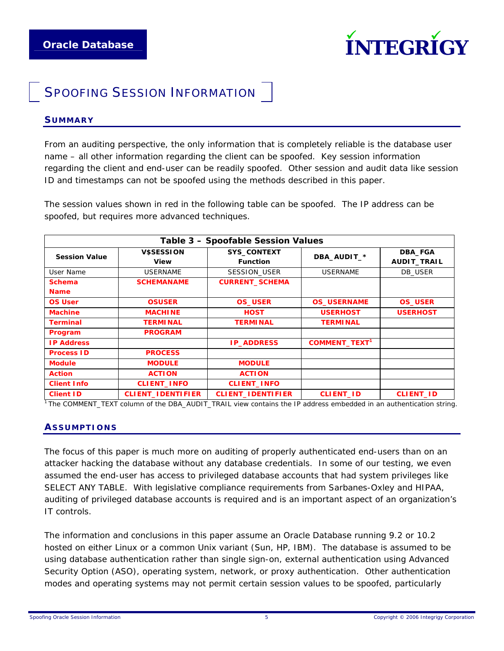

### **SPOOFING SESSION INFORMATION**

#### **SUMMARY**

From an auditing perspective, the only information that is completely reliable is the database user name – all other information regarding the client can be spoofed. Key session information regarding the client and end-user can be readily spoofed. Other session and audit data like session ID and timestamps can not be spoofed using the methods described in this paper.

The session values shown in red in the following table can be spoofed. The IP address can be spoofed, but requires more advanced techniques.

| Table 3 - Spoofable Session Values |                           |                                       |                                 |                               |  |  |
|------------------------------------|---------------------------|---------------------------------------|---------------------------------|-------------------------------|--|--|
| <b>Session Value</b>               | <b>V\$SESSION</b><br>View | <b>SYS_CONTEXT</b><br><b>Function</b> | DBA_AUDIT_*                     | DBA_FGA<br><b>AUDIT_TRAIL</b> |  |  |
| User Name                          | <b>USERNAME</b>           | SESSION USER                          | <b>USERNAME</b>                 | DB USER                       |  |  |
| <b>Schema</b>                      | <b>SCHEMANAME</b>         | <b>CURRENT_SCHEMA</b>                 |                                 |                               |  |  |
| <b>Name</b>                        |                           |                                       |                                 |                               |  |  |
| <b>OS User</b>                     | <b>OSUSER</b>             | <b>OS_USER</b>                        | <b>OS_USERNAME</b>              | <b>OS_USER</b>                |  |  |
| <b>Machine</b>                     | <b>MACHINE</b>            | <b>HOST</b>                           | <b>USERHOST</b>                 | <b>USERHOST</b>               |  |  |
| <b>Terminal</b>                    | <b>TERMINAL</b>           | <b>TERMINAL</b>                       | <b>TERMINAL</b>                 |                               |  |  |
| Program                            | <b>PROGRAM</b>            |                                       |                                 |                               |  |  |
| <b>IP Address</b>                  |                           | <b>IP_ADDRESS</b>                     | <b>COMMENT_TEXT<sup>1</sup></b> |                               |  |  |
| <b>Process ID</b>                  | <b>PROCESS</b>            |                                       |                                 |                               |  |  |
| <b>Module</b>                      | <b>MODULE</b>             | <b>MODULE</b>                         |                                 |                               |  |  |
| <b>Action</b>                      | <b>ACTION</b>             | <b>ACTION</b>                         |                                 |                               |  |  |
| <b>Client Info</b>                 | <b>CLIENT_INFO</b>        | <b>CLIENT_INFO</b>                    |                                 |                               |  |  |
| <b>Client ID</b>                   | <b>CLIENT_IDENTIFIER</b>  | <b>CLIENT_IDENTIFIER</b>              | <b>CLIENT_ID</b>                | <b>CLIENT_ID</b>              |  |  |

1 The COMMENT\_TEXT column of the DBA\_AUDIT\_TRAIL view contains the IP address embedded in an authentication string.

### **ASSUMPTIONS**

The focus of this paper is much more on auditing of properly authenticated end-users than on an attacker hacking the database without any database credentials. In some of our testing, we even assumed the end-user has access to privileged database accounts that had system privileges like SELECT ANY TABLE. With legislative compliance requirements from Sarbanes-Oxley and HIPAA, auditing of privileged database accounts is required and is an important aspect of an organization's IT controls.

The information and conclusions in this paper assume an Oracle Database running 9.2 or 10.2 hosted on either Linux or a common Unix variant (Sun, HP, IBM). The database is assumed to be using database authentication rather than single sign-on, external authentication using Advanced Security Option (ASO), operating system, network, or proxy authentication. Other authentication modes and operating systems may not permit certain session values to be spoofed, particularly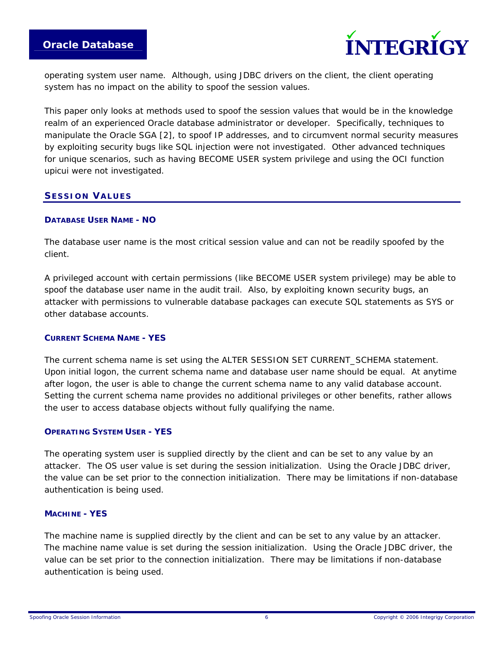

operating system user name. Although, using JDBC drivers on the client, the client operating system has no impact on the ability to spoof the session values.

This paper only looks at methods used to spoof the session values that would be in the knowledge realm of an experienced Oracle database administrator or developer. Specifically, techniques to manipulate the Oracle SGA [2], to spoof IP addresses, and to circumvent normal security measures by exploiting security bugs like SQL injection were not investigated. Other advanced techniques for unique scenarios, such as having BECOME USER system privilege and using the OCI function upicui were not investigated.

#### **SESSION VALUES**

#### *DATABASE USER NAME - NO*

The database user name is the most critical session value and can not be readily spoofed by the client.

A privileged account with certain permissions (like BECOME USER system privilege) may be able to spoof the database user name in the audit trail. Also, by exploiting known security bugs, an attacker with permissions to vulnerable database packages can execute SQL statements as SYS or other database accounts.

#### *CURRENT SCHEMA NAME - YES*

The current schema name is set using the ALTER SESSION SET CURRENT\_SCHEMA statement. Upon initial logon, the current schema name and database user name should be equal. At anytime after logon, the user is able to change the current schema name to any valid database account. Setting the current schema name provides no additional privileges or other benefits, rather allows the user to access database objects without fully qualifying the name.

#### *OPERATING SYSTEM USER - YES*

The operating system user is supplied directly by the client and can be set to any value by an attacker. The OS user value is set during the session initialization. Using the Oracle JDBC driver, the value can be set prior to the connection initialization. There may be limitations if non-database authentication is being used.

#### *MACHINE - YES*

The machine name is supplied directly by the client and can be set to any value by an attacker. The machine name value is set during the session initialization. Using the Oracle JDBC driver, the value can be set prior to the connection initialization. There may be limitations if non-database authentication is being used.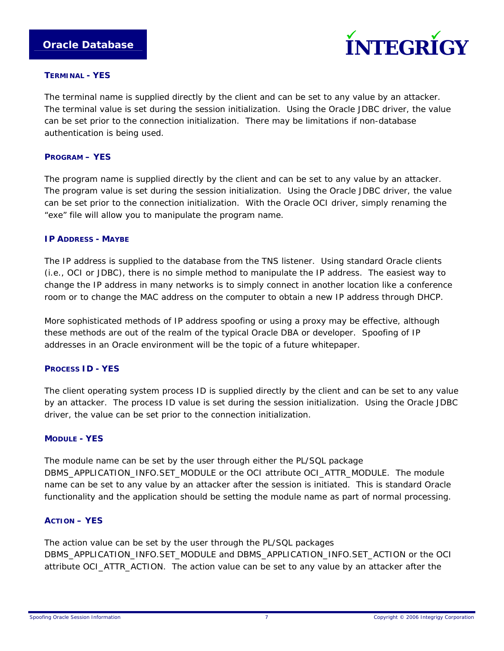

#### *TERMINAL - YES*

The terminal name is supplied directly by the client and can be set to any value by an attacker. The terminal value is set during the session initialization. Using the Oracle JDBC driver, the value can be set prior to the connection initialization. There may be limitations if non-database authentication is being used.

#### *PROGRAM – YES*

The program name is supplied directly by the client and can be set to any value by an attacker. The program value is set during the session initialization. Using the Oracle JDBC driver, the value can be set prior to the connection initialization. With the Oracle OCI driver, simply renaming the "exe" file will allow you to manipulate the program name.

#### *IP ADDRESS - MAYBE*

The IP address is supplied to the database from the TNS listener. Using standard Oracle clients (i.e., OCI or JDBC), there is no simple method to manipulate the IP address. The easiest way to change the IP address in many networks is to simply connect in another location like a conference room or to change the MAC address on the computer to obtain a new IP address through DHCP.

More sophisticated methods of IP address spoofing or using a proxy may be effective, although these methods are out of the realm of the typical Oracle DBA or developer. Spoofing of IP addresses in an Oracle environment will be the topic of a future whitepaper.

#### *PROCESS ID - YES*

The client operating system process ID is supplied directly by the client and can be set to any value by an attacker. The process ID value is set during the session initialization. Using the Oracle JDBC driver, the value can be set prior to the connection initialization.

#### *MODULE - YES*

The module name can be set by the user through either the PL/SQL package DBMS\_APPLICATION\_INFO.SET\_MODULE or the OCI attribute OCI\_ATTR\_MODULE. The module name can be set to any value by an attacker after the session is initiated. This is standard Oracle functionality and the application should be setting the module name as part of normal processing.

#### *ACTION – YES*

The action value can be set by the user through the PL/SQL packages DBMS\_APPLICATION\_INFO.SET\_MODULE and DBMS\_APPLICATION\_INFO.SET\_ACTION or the OCI attribute OCI\_ATTR\_ACTION. The action value can be set to any value by an attacker after the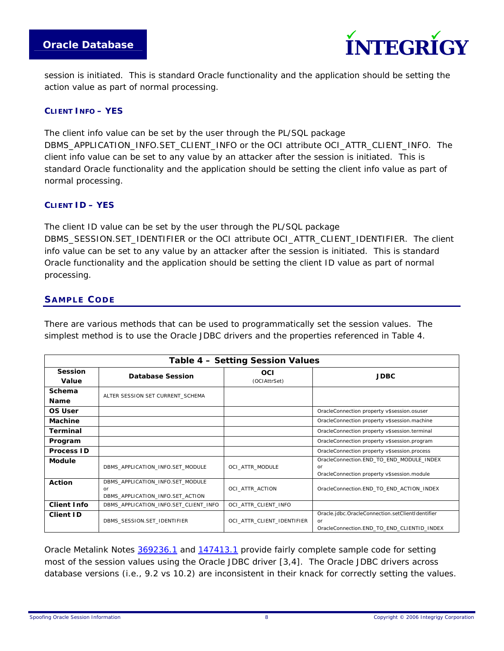



session is initiated. This is standard Oracle functionality and the application should be setting the action value as part of normal processing.

### *CLIENT INFO – YES*

The client info value can be set by the user through the PL/SQL package DBMS\_APPLICATION\_INFO.SET\_CLIENT\_INFO or the OCI attribute OCI\_ATTR\_CLIENT\_INFO. The client info value can be set to any value by an attacker after the session is initiated. This is standard Oracle functionality and the application should be setting the client info value as part of normal processing.

#### *CLIENT ID – YES*

The client ID value can be set by the user through the PL/SQL package DBMS\_SESSION.SET\_IDENTIFIER or the OCI attribute OCI\_ATTR\_CLIENT\_IDENTIFIER. The client info value can be set to any value by an attacker after the session is initiated. This is standard Oracle functionality and the application should be setting the client ID value as part of normal processing.

### **SAMPLE CODE**

There are various methods that can be used to programmatically set the session values. The simplest method is to use the Oracle JDBC drivers and the properties referenced in Table 4.

| Table 4 - Setting Session Values |                                       |                            |                                                  |  |  |  |  |
|----------------------------------|---------------------------------------|----------------------------|--------------------------------------------------|--|--|--|--|
| <b>Session</b>                   | <b>Database Session</b>               | OCI                        | <b>JDBC</b>                                      |  |  |  |  |
| Value                            |                                       | (OCIAttrSet)               |                                                  |  |  |  |  |
| Schema                           | ALTER SESSION SET CURRENT_SCHEMA      |                            |                                                  |  |  |  |  |
| <b>Name</b>                      |                                       |                            |                                                  |  |  |  |  |
| OS User                          |                                       |                            | OracleConnection property v\$session.osuser      |  |  |  |  |
| Machine                          |                                       |                            | OracleConnection property v\$session.machine     |  |  |  |  |
| Terminal                         |                                       |                            | OracleConnection property v\$session.terminal    |  |  |  |  |
| Program                          |                                       |                            | OracleConnection property v\$session.program     |  |  |  |  |
| <b>Process ID</b>                |                                       |                            | OracleConnection property v\$session.process     |  |  |  |  |
| Module                           |                                       | OCI ATTR MODULE            | OracleConnection.END TO END MODULE INDEX         |  |  |  |  |
|                                  | DBMS APPLICATION INFO.SET MODULE      |                            | or                                               |  |  |  |  |
|                                  |                                       |                            | OracleConnection property v\$session.module      |  |  |  |  |
| <b>Action</b>                    | DBMS APPLICATION INFO.SET MODULE      |                            |                                                  |  |  |  |  |
|                                  | or                                    | OCI ATTR ACTION            | OracleConnection.END TO END ACTION INDEX         |  |  |  |  |
|                                  | DBMS APPLICATION INFO.SET ACTION      |                            |                                                  |  |  |  |  |
| <b>Client Info</b>               | DBMS APPLICATION INFO.SET CLIENT INFO | OCI ATTR CLIENT INFO       |                                                  |  |  |  |  |
| <b>Client ID</b>                 |                                       | OCI ATTR CLIENT IDENTIFIER | Oracle.jdbc.OracleConnection.setClientIdentifier |  |  |  |  |
|                                  | DBMS SESSION.SET IDENTIFIER           |                            | or                                               |  |  |  |  |
|                                  |                                       |                            | OracleConnection.END TO END CLIENTID INDEX       |  |  |  |  |

Oracle Metalink Notes [369236.1](https://metalink.oracle.com/metalink/plsql/ml2_documents.showDocument?p_database_id=NOT&p_id=369236.1) and [147413.1](https://metalink.oracle.com/metalink/plsql/ml2_documents.showDocument?p_database_id=NOT&p_id=147413.1) provide fairly complete sample code for setting most of the session values using the Oracle JDBC driver [3,4]. The Oracle JDBC drivers across database versions (i.e., 9.2 vs 10.2) are inconsistent in their knack for correctly setting the values.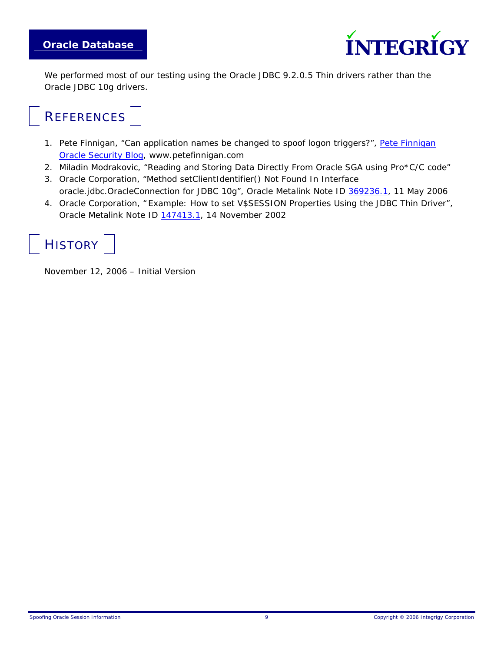

We performed most of our testing using the Oracle JDBC 9.2.0.5 Thin drivers rather than the Oracle JDBC 10g drivers.

### **REFERENCES**

- 1. Pete Finnigan, "Can application names be changed to spoof logon triggers?", Pete Finnigan [Oracle Security Blog](http://www.petefinnigan.com/weblog/archives/00000064.htm), www.petefinnigan.com
- 2. Miladin Modrakovic, "Reading and Storing Data Directly From Oracle SGA using Pro\*C/C code"
- 3. Oracle Corporation, "Method setClientIdentifier() Not Found In Interface oracle.jdbc.OracleConnection for JDBC 10g", Oracle Metalink Note ID [369236.1,](https://metalink.oracle.com/metalink/plsql/ml2_documents.showDocument?p_database_id=NOT&p_id=369236.1) 11 May 2006
- 4. Oracle Corporation, " Example: How to set V\$SESSION Properties Using the JDBC Thin Driver", Oracle Metalink Note ID [147413.1,](https://metalink.oracle.com/metalink/plsql/ml2_documents.showDocument?p_database_id=NOT&p_id=147413.1) 14 November 2002



November 12, 2006 – Initial Version